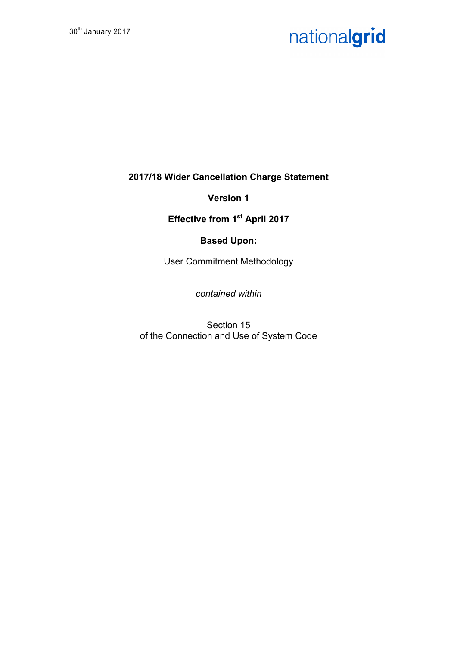# nationalgrid

**2017/18 Wider Cancellation Charge Statement**

**Version 1**

**Effective from 1st April 2017**

## **Based Upon:**

User Commitment Methodology

*contained within*

Section 15 of the Connection and Use of System Code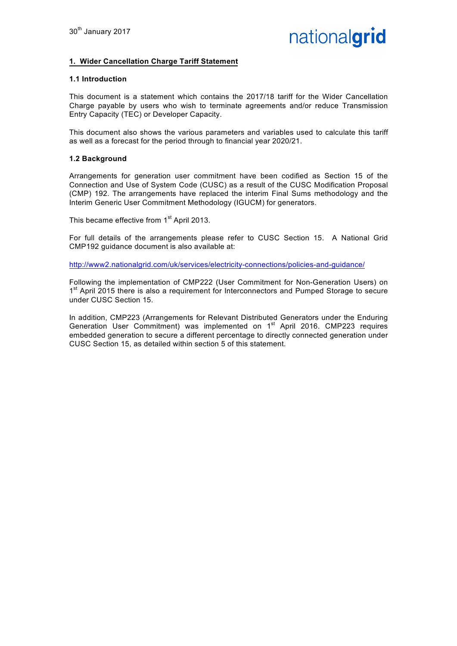#### **1. Wider Cancellation Charge Tariff Statement**

#### **1.1 Introduction**

This document is a statement which contains the 2017/18 tariff for the Wider Cancellation Charge payable by users who wish to terminate agreements and/or reduce Transmission Entry Capacity (TEC) or Developer Capacity.

This document also shows the various parameters and variables used to calculate this tariff as well as a forecast for the period through to financial year 2020/21.

#### **1.2 Background**

Arrangements for generation user commitment have been codified as Section 15 of the Connection and Use of System Code (CUSC) as a result of the CUSC Modification Proposal (CMP) 192. The arrangements have replaced the interim Final Sums methodology and the Interim Generic User Commitment Methodology (IGUCM) for generators.

This became effective from 1<sup>st</sup> April 2013.

For full details of the arrangements please refer to CUSC Section 15. A National Grid CMP192 guidance document is also available at:

http://www2.nationalgrid.com/uk/services/electricity-connections/policies-and-guidance/

Following the implementation of CMP222 (User Commitment for Non-Generation Users) on 1<sup>st</sup> April 2015 there is also a requirement for Interconnectors and Pumped Storage to secure under CUSC Section 15.

In addition, CMP223 (Arrangements for Relevant Distributed Generators under the Enduring Generation User Commitment) was implemented on 1<sup>st</sup> April 2016. CMP223 requires embedded generation to secure a different percentage to directly connected generation under CUSC Section 15, as detailed within section 5 of this statement.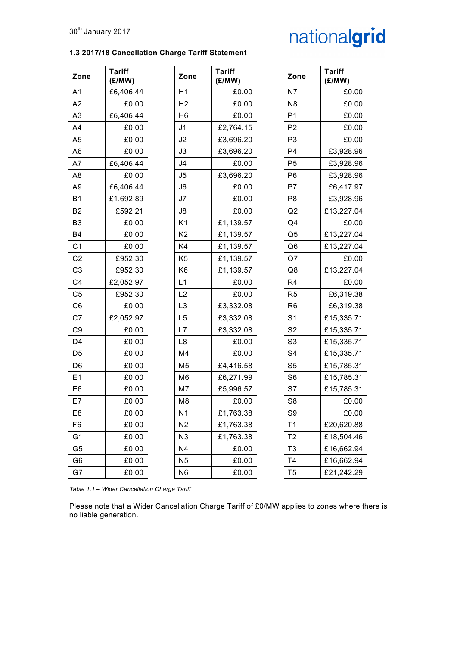#### **1.3 2017/18 Cancellation Charge Tariff Statement**

# nationalgrid

| Zone           | <b>Tariff</b><br>(£/MW) | Zone           | <b>Tariff</b><br>(E/MW) | Zone           | <b>Tariff</b><br>(E/MW) |
|----------------|-------------------------|----------------|-------------------------|----------------|-------------------------|
| A1             | £6,406.44               | H1             | £0.00                   | N7             | £0.00                   |
| A2             | £0.00                   | H <sub>2</sub> | £0.00                   | N <sub>8</sub> | £0.00                   |
| A3             | £6,406.44               | H <sub>6</sub> | £0.00                   | P <sub>1</sub> | £0.00                   |
| A4             | £0.00                   | J <sub>1</sub> | £2,764.15               | P <sub>2</sub> | £0.00                   |
| A5             | £0.00                   | J2             | £3,696.20               | P <sub>3</sub> | £0.00                   |
| A6             | £0.00                   | J3             | £3,696.20               | P <sub>4</sub> | £3,928.96               |
| Α7             | £6,406.44               | J4             | £0.00                   | P <sub>5</sub> | £3,928.96               |
| A8             | £0.00                   | J5             | £3,696.20               | P <sub>6</sub> | £3,928.96               |
| А9             | £6,406.44               | J6             | £0.00                   | P7             | £6,417.97               |
| <b>B1</b>      | £1,692.89               | J7             | £0.00                   | P <sub>8</sub> | £3,928.96               |
| B2             | £592.21                 | J8             | £0.00                   | Q2             | £13,227.04              |
| B3             | £0.00                   | K <sub>1</sub> | £1,139.57               | Q4             | £0.00                   |
| B4             | £0.00                   | K <sub>2</sub> | £1,139.57               | Q5             | £13,227.04              |
| C <sub>1</sub> | £0.00                   | K4             | £1,139.57               | Q <sub>6</sub> | £13,227.04              |
| C <sub>2</sub> | £952.30                 | K <sub>5</sub> | £1,139.57               | Q7             | £0.00                   |
| C3             | £952.30                 | K <sub>6</sub> | £1,139.57               | Q8             | £13,227.04              |
| C4             | £2,052.97               | L1             | £0.00                   | R4             | £0.00                   |
| C5             | £952.30                 | L2             | £0.00                   | R <sub>5</sub> | £6,319.38               |
| C6             | £0.00                   | L <sub>3</sub> | £3,332.08               | R <sub>6</sub> | £6,319.38               |
| C7             | £2,052.97               | L <sub>5</sub> | £3,332.08               | S <sub>1</sub> | £15,335.71              |
| C9             | £0.00                   | L7             | £3,332.08               | S <sub>2</sub> | £15,335.71              |
| D4             | £0.00                   | L8             | £0.00                   | S <sub>3</sub> | £15,335.71              |
| D5             | £0.00                   | M4             | £0.00                   | S <sub>4</sub> | £15,335.71              |
| D6             | £0.00                   | M <sub>5</sub> | £4,416.58               | S <sub>5</sub> | £15,785.31              |
| E1             | £0.00                   | M <sub>6</sub> | £6,271.99               | S <sub>6</sub> | £15,785.31              |
| E6             | £0.00                   | M7             | £5,996.57               | S7             | £15,785.31              |
| E7             | £0.00                   | M8             | £0.00                   | S <sub>8</sub> | £0.00                   |
| E8             | £0.00                   | N <sub>1</sub> | £1,763.38               | S9             | £0.00                   |
| F6             | £0.00                   | N <sub>2</sub> | £1,763.38               | T1             | £20,620.88              |
| G1             | £0.00                   | N <sub>3</sub> | £1,763.38               | T <sub>2</sub> | £18,504.46              |
| G5             | £0.00                   | N <sub>4</sub> | £0.00                   | T <sub>3</sub> | £16,662.94              |
| G6             | £0.00                   | N <sub>5</sub> | £0.00                   | T4             | £16,662.94              |
| $\sim$ 7       | co oo                   | <b>NIC</b>     | co oo                   | <b>TE</b>      | 0.24.242.20             |

| Zone           | <b>Tariff</b><br>(E/MW) | Zone           | <b>Tariff</b><br>(E/MW) | Zone           | <b>Tariff</b><br>(E/MW) |
|----------------|-------------------------|----------------|-------------------------|----------------|-------------------------|
| A1             | £6,406.44               | H1             | £0.00                   | N7             | £0.00                   |
| A2             | £0.00                   | H <sub>2</sub> | £0.00                   | N <sub>8</sub> | £0.00                   |
| A3             | £6,406.44               | H <sub>6</sub> | £0.00                   | P <sub>1</sub> | £0.00                   |
| A4             | £0.00                   | J <sub>1</sub> | £2,764.15               | P <sub>2</sub> | £0.00                   |
| A5             | £0.00                   | J <sub>2</sub> | £3,696.20               | P <sub>3</sub> | £0.00                   |
| A6             | £0.00                   | J3             | £3,696.20               | P4             | £3,928.96               |
| A7             | £6,406.44               | J4             | £0.00                   | P <sub>5</sub> | £3,928.96               |
| A8             | £0.00                   | J5             | £3,696.20               | P <sub>6</sub> | £3,928.96               |
| А9             | £6,406.44               | J6             | £0.00                   | P7             | £6,417.97               |
| B1             | £1,692.89               | J7             | £0.00                   | P <sub>8</sub> | £3,928.96               |
| B <sub>2</sub> | £592.21                 | J8             | £0.00                   | Q2             | £13,227.04              |
| B3             | £0.00                   | K1             | £1,139.57               | Q4             | £0.00                   |
| B4             | £0.00                   | K <sub>2</sub> | £1,139.57               | Q5             | £13,227.04              |
| C <sub>1</sub> | £0.00                   | K4             | £1,139.57               | Q <sub>6</sub> | £13,227.04              |
| C2             | £952.30                 | K5             | £1,139.57               | Q7             | £0.00                   |
| C3             | £952.30                 | K <sub>6</sub> | £1,139.57               | Q8             | £13,227.04              |
| C4             | £2,052.97               | L1             | £0.00                   | R <sub>4</sub> | £0.00                   |
| C5             | £952.30                 | L2             | £0.00                   | R <sub>5</sub> | £6,319.38               |
| C6             | £0.00                   | L <sub>3</sub> | £3,332.08               | R <sub>6</sub> | £6,319.38               |
| C7             | £2,052.97               | L <sub>5</sub> | £3,332.08               | S <sub>1</sub> | £15,335.71              |
| C9             | £0.00                   | L7             | £3,332.08               | S <sub>2</sub> | £15,335.71              |
| D4             | £0.00                   | L8             | £0.00                   | S <sub>3</sub> | £15,335.71              |
| D5             | £0.00                   | M4             | £0.00                   | S4             | £15,335.71              |
| D6             | £0.00                   | M5             | £4,416.58               | S <sub>5</sub> | £15,785.31              |
| E1             | £0.00                   | M <sub>6</sub> | £6,271.99               | S <sub>6</sub> | £15,785.31              |
| E6             | £0.00                   | M7             | £5,996.57               | S7             | £15,785.31              |
| E7             | £0.00                   | M8             | £0.00                   | S <sub>8</sub> | £0.00                   |
| E8             | £0.00                   | N <sub>1</sub> | £1,763.38               | S9             | £0.00                   |
| F6             | £0.00                   | N <sub>2</sub> | £1,763.38               | T <sub>1</sub> | £20,620.88              |
| G1             | £0.00                   | N <sub>3</sub> | £1,763.38               | T <sub>2</sub> | £18,504.46              |
| G5             | £0.00                   | N <sub>4</sub> | £0.00                   | T <sub>3</sub> | £16,662.94              |
| G6             | £0.00                   | N <sub>5</sub> | £0.00                   | T <sub>4</sub> | £16,662.94              |
| G7             | £0.00                   | N <sub>6</sub> | £0.00                   | T <sub>5</sub> | £21,242.29              |

*Table 1.1 – Wider Cancellation Charge Tariff*

Please note that a Wider Cancellation Charge Tariff of £0/MW applies to zones where there is no liable generation.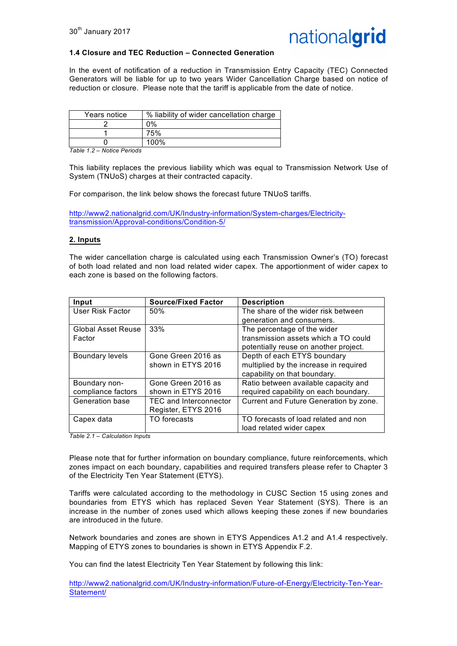

#### **1.4 Closure and TEC Reduction – Connected Generation**

In the event of notification of a reduction in Transmission Entry Capacity (TEC) Connected Generators will be liable for up to two years Wider Cancellation Charge based on notice of reduction or closure. Please note that the tariff is applicable from the date of notice.

| Years notice | % liability of wider cancellation charge |
|--------------|------------------------------------------|
|              | $0\%$                                    |
|              | 75%                                      |
|              | 100%                                     |

*Table 1.2 – Notice Periods*

This liability replaces the previous liability which was equal to Transmission Network Use of System (TNUoS) charges at their contracted capacity.

For comparison, the link below shows the forecast future TNUoS tariffs.

http://www2.nationalgrid.com/UK/Industry-information/System-charges/Electricitytransmission/Approval-conditions/Condition-5/

#### **2. Inputs**

The wider cancellation charge is calculated using each Transmission Owner's (TO) forecast of both load related and non load related wider capex. The apportionment of wider capex to each zone is based on the following factors.

| Input                     | <b>Source/Fixed Factor</b>    | <b>Description</b>                     |
|---------------------------|-------------------------------|----------------------------------------|
| User Risk Factor          | 50%                           | The share of the wider risk between    |
|                           |                               | generation and consumers.              |
| <b>Global Asset Reuse</b> | 33%                           | The percentage of the wider            |
| Factor                    |                               | transmission assets which a TO could   |
|                           |                               | potentially reuse on another project.  |
| Boundary levels           | Gone Green 2016 as            | Depth of each ETYS boundary            |
|                           | shown in ETYS 2016            | multiplied by the increase in required |
|                           |                               | capability on that boundary.           |
| Boundary non-             | Gone Green 2016 as            | Ratio between available capacity and   |
| compliance factors        | shown in ETYS 2016            | required capability on each boundary.  |
| Generation base           | <b>TEC and Interconnector</b> | Current and Future Generation by zone. |
|                           | Register, ETYS 2016           |                                        |
| Capex data                | TO forecasts                  | TO forecasts of load related and non   |
|                           |                               | load related wider capex               |

*Table 2.1 – Calculation Inputs*

Please note that for further information on boundary compliance, future reinforcements, which zones impact on each boundary, capabilities and required transfers please refer to Chapter 3 of the Electricity Ten Year Statement (ETYS).

Tariffs were calculated according to the methodology in CUSC Section 15 using zones and boundaries from ETYS which has replaced Seven Year Statement (SYS). There is an increase in the number of zones used which allows keeping these zones if new boundaries are introduced in the future.

Network boundaries and zones are shown in ETYS Appendices A1.2 and A1.4 respectively. Mapping of ETYS zones to boundaries is shown in ETYS Appendix F.2.

You can find the latest Electricity Ten Year Statement by following this link:

http://www2.nationalgrid.com/UK/Industry-information/Future-of-Energy/Electricity-Ten-Year-Statement/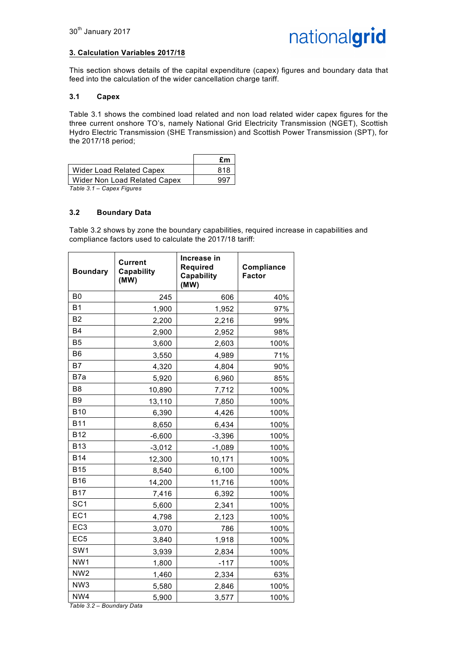### **3. Calculation Variables 2017/18**

This section shows details of the capital expenditure (capex) figures and boundary data that feed into the calculation of the wider cancellation charge tariff.

#### **3.1 Capex**

Table 3.1 shows the combined load related and non load related wider capex figures for the three current onshore TO's, namely National Grid Electricity Transmission (NGET), Scottish Hydro Electric Transmission (SHE Transmission) and Scottish Power Transmission (SPT), for the 2017/18 period;

|                              | £m  |
|------------------------------|-----|
| Wider Load Related Capex     | 818 |
| Wider Non Load Related Capex | 997 |
| Table 3.1 – Capex Figures    |     |

## **3.2 Boundary Data**

Table 3.2 shows by zone the boundary capabilities, required increase in capabilities and compliance factors used to calculate the 2017/18 tariff:

| <b>Boundary</b>                  | <b>Current</b><br>Capability<br>(MW) | Increase in<br><b>Required</b><br>Capability<br>(MW) | <b>Compliance</b><br><b>Factor</b> |
|----------------------------------|--------------------------------------|------------------------------------------------------|------------------------------------|
| B <sub>0</sub>                   | 245                                  | 606                                                  | 40%                                |
| <b>B1</b>                        | 1,900                                | 1,952                                                | 97%                                |
| B <sub>2</sub>                   | 2,200                                | 2,216                                                | 99%                                |
| <b>B4</b>                        | 2,900                                | 2,952                                                | 98%                                |
| <b>B5</b>                        | 3,600                                | 2,603                                                | 100%                               |
| B <sub>6</sub>                   | 3,550                                | 4,989                                                | 71%                                |
| <b>B7</b>                        | 4,320                                | 4,804                                                | 90%                                |
| B7a                              | 5,920                                | 6,960                                                | 85%                                |
| B <sub>8</sub>                   | 10,890                               | 7,712                                                | 100%                               |
| B <sub>9</sub>                   | 13,110                               | 7,850                                                | 100%                               |
| <b>B10</b>                       | 6,390                                | 4,426                                                | 100%                               |
| <b>B11</b>                       | 8,650                                | 6,434                                                | 100%                               |
| <b>B12</b>                       | $-6,600$                             | $-3,396$                                             | 100%                               |
| <b>B13</b>                       | $-3,012$                             | $-1,089$                                             | 100%                               |
| <b>B14</b>                       | 12,300                               | 10,171                                               | 100%                               |
| <b>B15</b>                       | 8,540                                | 6,100                                                | 100%                               |
| <b>B16</b>                       | 14,200                               | 11,716                                               | 100%                               |
| <b>B17</b>                       | 7,416                                | 6,392                                                | 100%                               |
| SC <sub>1</sub>                  | 5,600                                | 2,341                                                | 100%                               |
| EC <sub>1</sub>                  | 4,798                                | 2,123                                                | 100%                               |
| EC <sub>3</sub>                  | 3,070                                | 786                                                  | 100%                               |
| EC <sub>5</sub>                  | 3,840                                | 1,918                                                | 100%                               |
| SW <sub>1</sub>                  | 3,939                                | 2,834                                                | 100%                               |
| NW1                              | 1,800                                | $-117$                                               | 100%                               |
| NW <sub>2</sub>                  | 1,460                                | 2,334                                                | 63%                                |
| NW3                              | 5,580                                | 2,846                                                | 100%                               |
| NW4<br>Table 3.2 - Boundary Data | 5,900                                | 3,577                                                | 100%                               |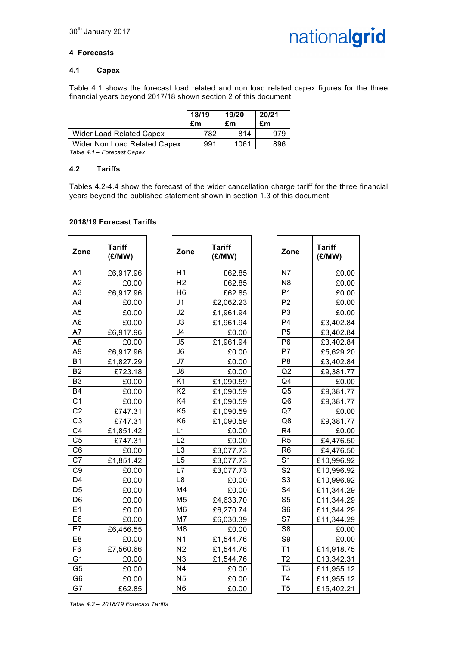

### **4 Forecasts**

#### **4.1 Capex**

Table 4.1 shows the forecast load related and non load related capex figures for the three financial years beyond 2017/18 shown section 2 of this document:

|                              | 18/19<br>£m | 19/20<br>£m | 20/21<br>£m |
|------------------------------|-------------|-------------|-------------|
| Wider Load Related Capex     | 782         | 814         |             |
| Wider Non Load Related Capex | 991         | 1061        | 896         |

*Table 4.1 – Forecast Capex*

#### **4.2 Tariffs**

Tables 4.2-4.4 show the forecast of the wider cancellation charge tariff for the three financial years beyond the published statement shown in section 1.3 of this document:

#### **2018/19 Forecast Tariffs**

| Zone           | <b>Tariff</b><br>(E/MW) | Zone            | <b>Tariff</b><br>(E/MW) | Zone           | <b>Tariff</b><br>(E/MW) |
|----------------|-------------------------|-----------------|-------------------------|----------------|-------------------------|
| A <sub>1</sub> | £6,917.96               | H1              | £62.85                  | N7             | £0.00                   |
| A2             | £0.00                   | H <sub>2</sub>  | £62.85                  | N <sub>8</sub> | £0.00                   |
| A3             | £6,917.96               | H <sub>6</sub>  | £62.85                  | P <sub>1</sub> | £0.00                   |
| A4             | £0.00                   | J <sub>1</sub>  | £2,062.23               | P <sub>2</sub> | £0.00                   |
| A <sub>5</sub> | £0.00                   | J2              | £1,961.94               | P <sub>3</sub> | £0.00                   |
| A <sub>6</sub> | £0.00                   | J3              | £1,961.94               | P <sub>4</sub> | £3,402.84               |
| A7             | £6,917.96               | J <sub>4</sub>  | £0.00                   | P <sub>5</sub> | £3,402.84               |
| A8             | £0.00                   | J5              | £1,961.94               | P <sub>6</sub> | £3,402.84               |
| A <sub>9</sub> | £6,917.96               | J6              | £0.00                   | P7             | £5,629.20               |
| <b>B1</b>      | £1,827.29               | J7              | £0.00                   | P <sub>8</sub> | £3,402.84               |
| B <sub>2</sub> | £723.18                 | J8              | £0.00                   | Q2             | £9,381.77               |
| B <sub>3</sub> | £0.00                   | K <sub>1</sub>  | £1,090.59               | Q <sub>4</sub> | £0.00                   |
| <b>B4</b>      | £0.00                   | $\overline{K2}$ | £1,090.59               | Q <sub>5</sub> | £9,381.77               |
| C <sub>1</sub> | £0.00                   | K4              | £1,090.59               | Q <sub>6</sub> | £9,381.77               |
| C <sub>2</sub> | £747.31                 | K <sub>5</sub>  | £1,090.59               | Q7             | £0.00                   |
| C <sub>3</sub> | £747.31                 | K <sub>6</sub>  | £1,090.59               | Q8             | £9,381.77               |
| C <sub>4</sub> | £1,851.42               | L1              | £0.00                   | R <sub>4</sub> | £0.00                   |
| C <sub>5</sub> | £747.31                 | L2              | £0.00                   | R <sub>5</sub> | £4,476.50               |
| C <sub>6</sub> | £0.00                   | L <sub>3</sub>  | £3,077.73               | R <sub>6</sub> | £4,476.50               |
| C <sub>7</sub> | £1,851.42               | L <sub>5</sub>  | £3,077.73               | S <sub>1</sub> | £10,996.92              |
| C <sub>9</sub> | £0.00                   | L7              | £3,077.73               | S <sub>2</sub> | £10,996.92              |
| D <sub>4</sub> | £0.00                   | L8              | £0.00                   | S <sub>3</sub> | £10,996.92              |
| D <sub>5</sub> | £0.00                   | M4              | £0.00                   | S <sub>4</sub> | £11,344.29              |
| D <sub>6</sub> | £0.00                   | M <sub>5</sub>  | £4,633.70               | S <sub>5</sub> | £11,344.29              |
| E1             | £0.00                   | M <sub>6</sub>  | £6,270.74               | S <sub>6</sub> | £11,344.29              |
| E <sub>6</sub> | £0.00                   | M7              | £6,030.39               | S7             | £11,344.29              |
| E7             | £6,456.55               | M8              | £0.00                   | S <sub>8</sub> | £0.00                   |
| E8             | £0.00                   | N <sub>1</sub>  | £1,544.76               | S <sub>9</sub> | £0.00                   |
| F <sub>6</sub> | £7,560.66               | N <sub>2</sub>  | £1,544.76               | T1             | £14,918.75              |
| G <sub>1</sub> | £0.00                   | N3              | £1,544.76               | T <sub>2</sub> | £13,342.31              |
| G <sub>5</sub> | £0.00                   | N <sub>4</sub>  | £0.00                   | T <sub>3</sub> | £11,955.12              |
| G <sub>6</sub> | £0.00                   | N <sub>5</sub>  | £0.00                   | T <sub>4</sub> | £11,955.12              |
| G7             | £62.85                  | N <sub>6</sub>  | £0.00                   | T <sub>5</sub> | £15,402.21              |

| Tariff<br>(E/MW) | Zone           | <b>Tariff</b><br>(E/MW) |
|------------------|----------------|-------------------------|
| £6,917.96        | H1             | £62.85                  |
| £0.00            | H <sub>2</sub> | £62.85                  |
| £6,917.96        | H <sub>6</sub> | £62.85                  |
| £0.00            | J <sub>1</sub> | £2,062.23               |
| £0.00            | J2             | £1,961.94               |
| £0.00            | J3             | £1,961.94               |
| £6,917.96        | J <sub>4</sub> | £0.00                   |
| £0.00            | J5             | £1,961.94               |
| £6,917.96        | J6             | £0.00                   |
| £1,827.29        | J7             | £0.00                   |
| £723.18          | J8             | £0.00                   |
| £0.00            | K <sub>1</sub> | £1,090.59               |
| £0.00            | K <sub>2</sub> | £1,090.59               |
| £0.00            | K4             | £1,090.59               |
| £747.31          | K <sub>5</sub> | £1,090.59               |
| £747.31          | K <sub>6</sub> | £1,090.59               |
| £1,851.42        | L1             | £0.00                   |
| £747.31          | L <sub>2</sub> | £0.00                   |
| £0.00            | L <sub>3</sub> | £3,077.73               |
| £1,851.42        | L5             | £3,077.73               |
| £0.00            | L7             | £3,077.73               |
| £0.00            | L8             | £0.00                   |
| £0.00            | M <sub>4</sub> | £0.00                   |
| £0.00            | M <sub>5</sub> | £4,633.70               |
| £0.00            | M <sub>6</sub> | £6,270.74               |
| £0.00            | M7             | £6,030.39               |
| £6,456.55        | M <sub>8</sub> | £0.00                   |
| £0.00            | N <sub>1</sub> | £1,544.76               |
| £7,560.66        | N <sub>2</sub> | £1,544.76               |
| £0.00            | N <sub>3</sub> | £1,544.76               |
| £0.00            | N <sub>4</sub> | £0.00                   |
| £0.00            | N <sub>5</sub> | £0.00                   |
| £62.85           | N <sub>6</sub> | £0.00                   |

| Tariff<br>(E/MW) | Zone           | <b>Tariff</b><br>(E/MW) |
|------------------|----------------|-------------------------|
| £62.85           | N7             | £0.00                   |
| £62.85           | N <sub>8</sub> | £0.00                   |
| £62.85           | P <sub>1</sub> | £0.00                   |
| £2,062.23        | P <sub>2</sub> | £0.00                   |
| £1,961.94        | P <sub>3</sub> | £0.00                   |
| £1,961.94        | P <sub>4</sub> | £3,402.84               |
| £0.00            | P <sub>5</sub> | £3,402.84               |
| £1,961.94        | P <sub>6</sub> | £3,402.84               |
| £0.00            | P7             | £5,629.20               |
| £0.00            | P8             | £3,402.84               |
| £0.00            | Q <sub>2</sub> | £9,381.77               |
| £1,090.59        | Q <sub>4</sub> | £0.00                   |
| £1,090.59        | Q5             | £9,381.77               |
| £1,090.59        | Q6             | £9,381.77               |
| £1,090.59        | Q7             | £0.00                   |
| £1,090.59        | Q8             | £9,381.77               |
| £0.00            | R <sub>4</sub> | £0.00                   |
| £0.00            | R <sub>5</sub> | £4,476.50               |
| £3,077.73        | R <sub>6</sub> | £4,476.50               |
| £3,077.73        | S <sub>1</sub> | £10,996.92              |
| £3,077.73        | S <sub>2</sub> | £10,996.92              |
| £0.00            | S <sub>3</sub> | £10,996.92              |
| £0.00            | S4             | £11,344.29              |
| £4,633.70        | S <sub>5</sub> | £11,344.29              |
| £6,270.74        | S <sub>6</sub> | £11,344.29              |
| £6,030.39        | S7             | £11,344.29              |
| £0.00            | S8             | £0.00                   |
| £1,544.76        | S <sub>9</sub> | £0.00                   |
| £1,544.76        | T1             | £14,918.75              |
| £1,544.76        | T2             | £13,342.31              |
| £0.00            | T <sub>3</sub> | £11,955.12              |
| £0.00            | T <sub>4</sub> | £11,955.12              |
| £0.00            | T <sub>5</sub> | £15,402.21              |

*Table 4.2 – 2018/19 Forecast Tariffs*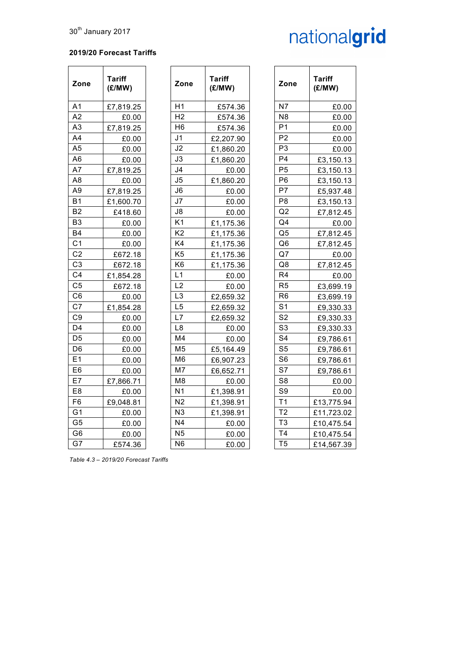# nationalgrid

### **2019/20 Forecast Tariffs**

| Zone           | <b>Tariff</b><br>(E/MW) | Zone           | <b>Tariff</b><br>(E/MW) | Zone           | <b>Tariff</b><br>(E/MW) |
|----------------|-------------------------|----------------|-------------------------|----------------|-------------------------|
| A <sub>1</sub> | £7,819.25               | H1             | £574.36                 | N7             | £0.00                   |
| A2             | £0.00                   | H <sub>2</sub> | £574.36                 | N <sub>8</sub> | £0.00                   |
| A <sub>3</sub> | £7,819.25               | H <sub>6</sub> | £574.36                 | P <sub>1</sub> | £0.00                   |
| A4             | £0.00                   | J <sub>1</sub> | £2,207.90               | P <sub>2</sub> | £0.00                   |
| A <sub>5</sub> | £0.00                   | J2             | £1,860.20               | P <sub>3</sub> | £0.00                   |
| A6             | £0.00                   | J3             | £1,860.20               | P <sub>4</sub> | £3,150.13               |
| A7             | £7,819.25               | J <sub>4</sub> | £0.00                   | P <sub>5</sub> | £3,150.13               |
| A <sub>8</sub> | £0.00                   | J <sub>5</sub> | £1,860.20               | P <sub>6</sub> | £3,150.13               |
| A <sub>9</sub> | £7,819.25               | J6             | £0.00                   | P7             | £5,937.48               |
| <b>B1</b>      | £1,600.70               | J7             | £0.00                   | P <sub>8</sub> | £3,150.13               |
| B <sub>2</sub> | £418.60                 | J8             | £0.00                   | Q2             | £7,812.45               |
| B <sub>3</sub> | £0.00                   | K <sub>1</sub> | £1,175.36               | Q <sub>4</sub> | £0.00                   |
| <b>B4</b>      | £0.00                   | K <sub>2</sub> | £1,175.36               | Q <sub>5</sub> | £7,812.45               |
| C <sub>1</sub> | £0.00                   | K4             | £1,175.36               | Q <sub>6</sub> | £7,812.45               |
| C <sub>2</sub> | £672.18                 | K <sub>5</sub> | £1,175.36               | Q7             | £0.00                   |
| C <sub>3</sub> | £672.18                 | K <sub>6</sub> | £1,175.36               | Q8             | £7,812.45               |
| C <sub>4</sub> | £1,854.28               | L1             | £0.00                   | R <sub>4</sub> | £0.00                   |
| C <sub>5</sub> | £672.18                 | L <sub>2</sub> | £0.00                   | R <sub>5</sub> | £3,699.19               |
| C <sub>6</sub> | £0.00                   | L <sub>3</sub> | £2,659.32               | R <sub>6</sub> | £3,699.19               |
| C <sub>7</sub> | £1,854.28               | L5             | £2,659.32               | S <sub>1</sub> | £9,330.33               |
| C <sub>9</sub> | £0.00                   | L7             | £2,659.32               | S <sub>2</sub> | £9,330.33               |
| D <sub>4</sub> | £0.00                   | L8             | £0.00                   | S <sub>3</sub> | £9,330.33               |
| D <sub>5</sub> | £0.00                   | M4             | £0.00                   | S <sub>4</sub> | £9,786.61               |
| D <sub>6</sub> | £0.00                   | M <sub>5</sub> | £5,164.49               | S <sub>5</sub> | £9,786.61               |
| E1             | £0.00                   | M <sub>6</sub> | £6,907.23               | S <sub>6</sub> | £9,786.61               |
| E <sub>6</sub> | £0.00                   | M7             | £6,652.71               | S7             | £9,786.61               |
| E7             | £7,866.71               | M <sub>8</sub> | £0.00                   | S <sub>8</sub> | £0.00                   |
| E8             | £0.00                   | N <sub>1</sub> | £1,398.91               | S <sub>9</sub> | £0.00                   |
| F <sub>6</sub> | £9,048.81               | N <sub>2</sub> | £1,398.91               | T1             | £13,775.94              |
| G <sub>1</sub> | £0.00                   | N <sub>3</sub> | £1,398.91               | T <sub>2</sub> | £11,723.02              |
| G <sub>5</sub> | £0.00                   | N <sub>4</sub> | £0.00                   | T <sub>3</sub> | £10,475.54              |
| G <sub>6</sub> | £0.00                   | N <sub>5</sub> | £0.00                   | T <sub>4</sub> | £10,475.54              |
| G7             | £574.36                 | N <sub>6</sub> | £0.00                   | T <sub>5</sub> | £14,567.39              |

| e | <b>Tariff</b><br>(E/MW) | Zone           | <b>Tariff</b><br>(E/MW) |
|---|-------------------------|----------------|-------------------------|
|   | £574.36                 | N7             | £0.00                   |
|   | £574.36                 | N8             | £0.00                   |
|   | £574.36                 | P <sub>1</sub> | £0.00                   |
|   | £2,207.90               | P <sub>2</sub> | £0.00                   |
|   | £1,860.20               | P <sub>3</sub> | £0.00                   |
|   | £1,860.20               | P <sub>4</sub> | £3,150.13               |
|   | £0.00                   | P <sub>5</sub> | £3,150.13               |
|   | £1,860.20               | P <sub>6</sub> | £3,150.13               |
|   | £0.00                   | P7             | £5,937.48               |
|   | £0.00                   | P <sub>8</sub> | £3,150.13               |
|   | £0.00                   | Q2             | £7,812.45               |
|   | £1,175.36               | Q <sub>4</sub> | £0.00                   |
|   | £1,175.36               | Q5             | £7,812.45               |
|   | £1,175.36               | Q <sub>6</sub> | £7,812.45               |
|   | £1,175.36               | Q7             | £0.00                   |
|   | £1,175.36               | Q8             | £7,812.45               |
|   | £0.00                   | R <sub>4</sub> | £0.00                   |
|   | £0.00                   | R <sub>5</sub> | £3,699.19               |
|   | £2,659.32               | R <sub>6</sub> | £3,699.19               |
|   | £2,659.32               | S <sub>1</sub> | £9,330.33               |
|   | £2,659.32               | S <sub>2</sub> | £9,330.33               |
|   | £0.00                   | S <sub>3</sub> | £9,330.33               |
|   | £0.00                   | S <sub>4</sub> | £9,786.61               |
|   | £5,164.49               | S <sub>5</sub> | £9,786.61               |
|   | £6,907.23               | S <sub>6</sub> | £9,786.61               |
|   | £6,652.71               | S7             | £9,786.61               |
|   | £0.00                   | S <sub>8</sub> | £0.00                   |
|   | £1,398.91               | S9             | £0.00                   |
|   | £1,398.91               | T <sub>1</sub> | £13,775.94              |
|   | £1,398.91               | T <sub>2</sub> | £11,723.02              |
|   | £0.00                   | T <sub>3</sub> | £10,475.54              |
|   | £0.00                   | T <sub>4</sub> | £10,475.54              |
|   | £0.00                   | T <sub>5</sub> | £14,567.39              |

*Table 4.3 – 2019/20 Forecast Tariffs*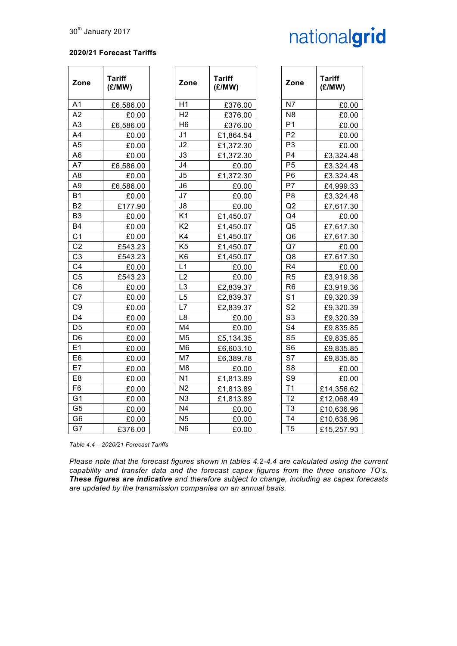# nationalgrid

### **2020/21 Forecast Tariffs**

| Zone           | <b>Tariff</b><br>(E/MW) | Zone           | <b>Tariff</b><br>(E/MW) | Zone                     | <b>Tariff</b><br>(E/MW) |
|----------------|-------------------------|----------------|-------------------------|--------------------------|-------------------------|
| A1             | £6,586.00               | H1             | £376.00                 | N7                       | £0.00                   |
| A2             | £0.00                   | H <sub>2</sub> | £376.00                 | N <sub>8</sub>           | £0.00                   |
| A <sub>3</sub> | £6,586.00               | H <sub>6</sub> | £376.00                 | P <sub>1</sub>           | £0.00                   |
| A4             | £0.00                   | J <sub>1</sub> | £1,864.54               | P <sub>2</sub>           | £0.00                   |
| A <sub>5</sub> | £0.00                   | J2             | £1,372.30               | P <sub>3</sub>           | £0.00                   |
| A <sub>6</sub> | £0.00                   | J3             | £1,372.30               | P <sub>4</sub>           | £3,324.48               |
| A7             | £6,586.00               | J4             | £0.00                   | P <sub>5</sub>           | £3,324.48               |
| A <sub>8</sub> | £0.00                   | J5             | £1,372.30               | P <sub>6</sub>           | £3,324.48               |
| A <sub>9</sub> | £6,586.00               | J6             | £0.00                   | P7                       | £4,999.33               |
| <b>B1</b>      | £0.00                   | J <sub>7</sub> | £0.00                   | P <sub>8</sub>           | £3,324.48               |
| <b>B2</b>      | £177.90                 | J8             | £0.00                   | Q2                       | £7,617.30               |
| B <sub>3</sub> | £0.00                   | K <sub>1</sub> | £1,450.07               | Q <sub>4</sub>           | £0.00                   |
| <b>B4</b>      | £0.00                   | K <sub>2</sub> | £1,450.07               | Q <sub>5</sub>           | £7,617.30               |
| C <sub>1</sub> | £0.00                   | K4             | £1,450.07               | Q <sub>6</sub>           | £7,617.30               |
| C <sub>2</sub> | £543.23                 | K <sub>5</sub> | £1,450.07               | Q7                       | £0.00                   |
| C <sub>3</sub> | £543.23                 | K <sub>6</sub> | £1,450.07               | Q8                       | £7,617.30               |
| C <sub>4</sub> | £0.00                   | L1             | £0.00                   | R <sub>4</sub>           | £0.00                   |
| C <sub>5</sub> | £543.23                 | L <sub>2</sub> | £0.00                   | R <sub>5</sub>           | £3,919.36               |
| C <sub>6</sub> | £0.00                   | L <sub>3</sub> | £2,839.37               | R <sub>6</sub>           | £3,919.36               |
| C <sub>7</sub> | £0.00                   | L5             | £2,839.37               | S <sub>1</sub>           | £9,320.39               |
| C <sub>9</sub> | £0.00                   | L7             | £2,839.37               | $\overline{\mathsf{S}2}$ | £9,320.39               |
| D <sub>4</sub> | £0.00                   | L8             | £0.00                   | S <sub>3</sub>           | £9,320.39               |
| D5             | £0.00                   | M <sub>4</sub> | £0.00                   | S <sub>4</sub>           | £9,835.85               |
| D <sub>6</sub> | £0.00                   | M <sub>5</sub> | £5,134.35               | S <sub>5</sub>           | £9,835.85               |
| E1             | £0.00                   | M <sub>6</sub> | £6,603.10               | S <sub>6</sub>           | £9,835.85               |
| E <sub>6</sub> | £0.00                   | M <sub>7</sub> | £6,389.78               | S7                       | £9,835.85               |
| E7             | £0.00                   | M <sub>8</sub> | £0.00                   | S <sub>8</sub>           | £0.00                   |
| E <sub>8</sub> | £0.00                   | N <sub>1</sub> | £1,813.89               | S <sub>9</sub>           | £0.00                   |
| F <sub>6</sub> | £0.00                   | N <sub>2</sub> | £1,813.89               | T1                       | £14,356.62              |
| G <sub>1</sub> | £0.00                   | N <sub>3</sub> | £1,813.89               | T <sub>2</sub>           | £12,068.49              |
| G <sub>5</sub> | £0.00                   | N <sub>4</sub> | £0.00                   | T <sub>3</sub>           | £10,636.96              |
| G <sub>6</sub> | £0.00                   | N <sub>5</sub> | £0.00                   | T <sub>4</sub>           | £10,636.96              |
| G7             | £376.00                 | N <sub>6</sub> | £0.00                   | T <sub>5</sub>           | £15,257.93              |

*Table 4.4 – 2020/21 Forecast Tariffs*

*Please note that the forecast figures shown in tables 4.2-4.4 are calculated using the current capability and transfer data and the forecast capex figures from the three onshore TO's. These figures are indicative and therefore subject to change, including as capex forecasts are updated by the transmission companies on an annual basis.*